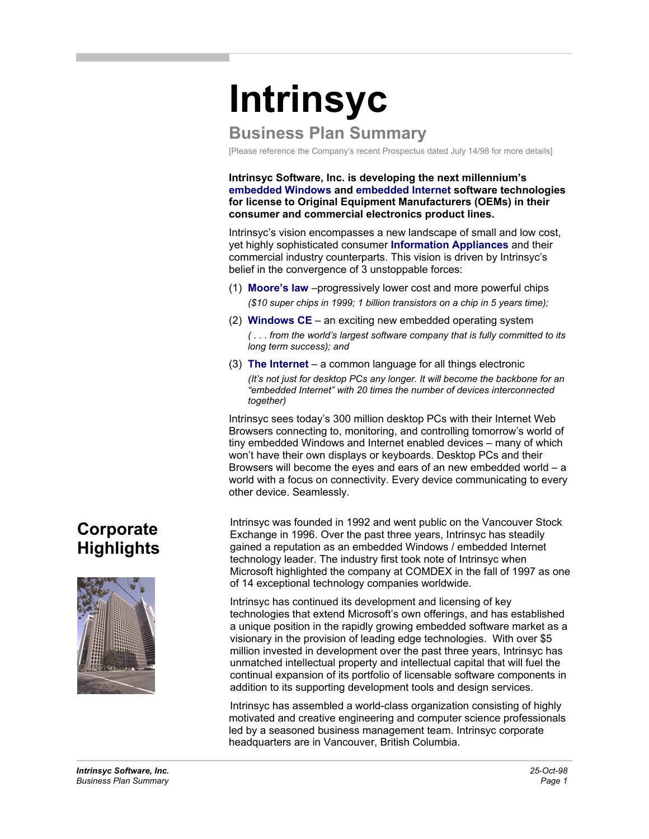# **Intrinsyc**

## **Business Plan Summary**

[Please reference the Company's recent Prospectus dated July 14/98 for more details]

**Intrinsyc Software, Inc. is developing the next millennium's embedded Windows and embedded Internet software technologies for license to Original Equipment Manufacturers (OEMs) in their consumer and commercial electronics product lines.** 

Intrinsyc's vision encompasses a new landscape of small and low cost, yet highly sophisticated consumer **Information Appliances** and their commercial industry counterparts. This vision is driven by Intrinsyc's belief in the convergence of 3 unstoppable forces:

- (1) **Moore's law** –progressively lower cost and more powerful chips *(\$10 super chips in 1999; 1 billion transistors on a chip in 5 years time);*
- (2) **Windows CE** an exciting new embedded operating system *( . . . from the world's largest software company that is fully committed to its long term success); and*
- (3) **The Internet** a common language for all things electronic *(It's not just for desktop PCs any longer. It will become the backbone for an "embedded Internet" with 20 times the number of devices interconnected together)*

Intrinsyc sees today's 300 million desktop PCs with their Internet Web Browsers connecting to, monitoring, and controlling tomorrow's world of tiny embedded Windows and Internet enabled devices – many of which won't have their own displays or keyboards. Desktop PCs and their Browsers will become the eyes and ears of an new embedded world – a world with a focus on connectivity. Every device communicating to every other device. Seamlessly.

Intrinsyc was founded in 1992 and went public on the Vancouver Stock Exchange in 1996. Over the past three years, Intrinsyc has steadily gained a reputation as an embedded Windows / embedded Internet technology leader. The industry first took note of Intrinsyc when Microsoft highlighted the company at COMDEX in the fall of 1997 as one of 14 exceptional technology companies worldwide.

Intrinsyc has continued its development and licensing of key technologies that extend Microsoft's own offerings, and has established a unique position in the rapidly growing embedded software market as a visionary in the provision of leading edge technologies. With over \$5 million invested in development over the past three years, Intrinsyc has unmatched intellectual property and intellectual capital that will fuel the continual expansion of its portfolio of licensable software components in addition to its supporting development tools and design services.

Intrinsyc has assembled a world-class organization consisting of highly motivated and creative engineering and computer science professionals led by a seasoned business management team. Intrinsyc corporate headquarters are in Vancouver, British Columbia.

## **Corporate Highlights**

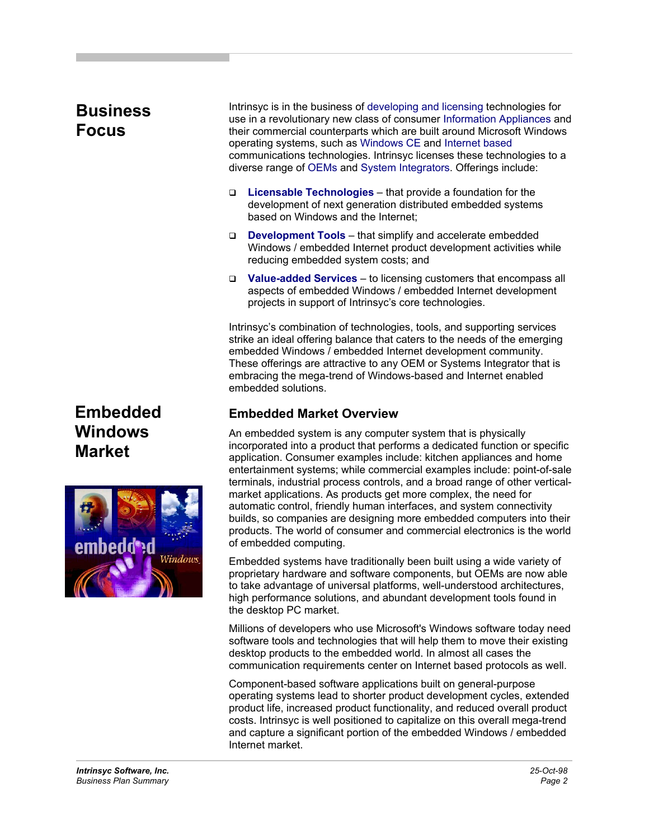## **Business Focus**

Intrinsyc is in the business of developing and licensing technologies for use in a revolutionary new class of consumer Information Appliances and their commercial counterparts which are built around Microsoft Windows operating systems, such as Windows CE and Internet based communications technologies. Intrinsyc licenses these technologies to a diverse range of OEMs and System Integrators. Offerings include:

- **Licensable Technologies** that provide a foundation for the development of next generation distributed embedded systems based on Windows and the Internet;
- □ **Development Tools** that simplify and accelerate embedded Windows / embedded Internet product development activities while reducing embedded system costs; and
- **Value-added Services** to licensing customers that encompass all aspects of embedded Windows / embedded Internet development projects in support of Intrinsyc's core technologies.

Intrinsyc's combination of technologies, tools, and supporting services strike an ideal offering balance that caters to the needs of the emerging embedded Windows / embedded Internet development community. These offerings are attractive to any OEM or Systems Integrator that is embracing the mega-trend of Windows-based and Internet enabled embedded solutions.

## **Embedded Market Overview**

An embedded system is any computer system that is physically incorporated into a product that performs a dedicated function or specific application. Consumer examples include: kitchen appliances and home entertainment systems; while commercial examples include: point-of-sale terminals, industrial process controls, and a broad range of other verticalmarket applications. As products get more complex, the need for automatic control, friendly human interfaces, and system connectivity builds, so companies are designing more embedded computers into their products. The world of consumer and commercial electronics is the world of embedded computing.

Embedded systems have traditionally been built using a wide variety of proprietary hardware and software components, but OEMs are now able to take advantage of universal platforms, well-understood architectures, high performance solutions, and abundant development tools found in the desktop PC market.

Millions of developers who use Microsoft's Windows software today need software tools and technologies that will help them to move their existing desktop products to the embedded world. In almost all cases the communication requirements center on Internet based protocols as well.

Component-based software applications built on general-purpose operating systems lead to shorter product development cycles, extended product life, increased product functionality, and reduced overall product costs. Intrinsyc is well positioned to capitalize on this overall mega-trend and capture a significant portion of the embedded Windows / embedded Internet market.

## **Embedded Windows Market**

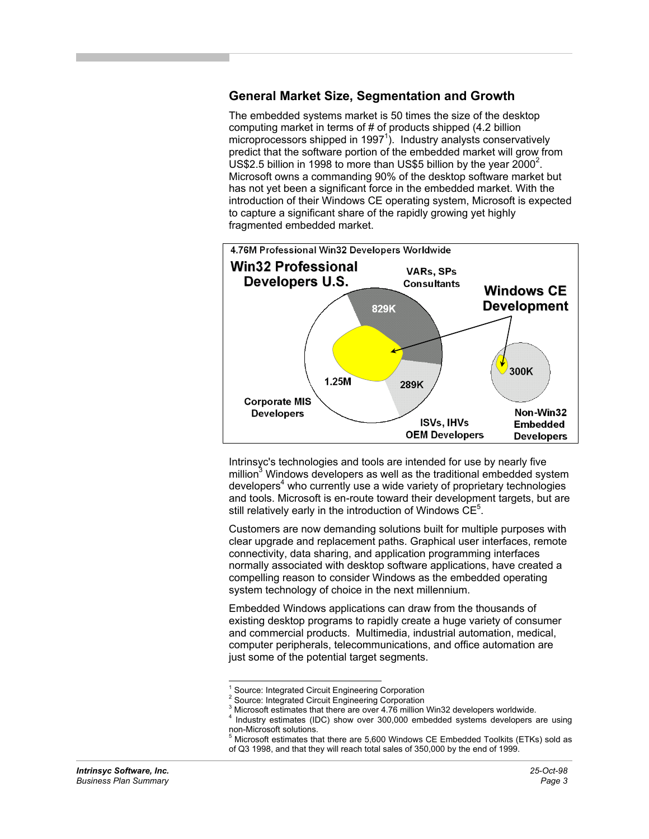#### **General Market Size, Segmentation and Growth**

The embedded systems market is 50 times the size of the desktop computing market in terms of # of products shipped (4.2 billion microprocessors shipped in 1997<sup>1</sup>). Industry analysts conservatively predict that the software portion of the embedded market will grow from US\$2.5 billion in 1998 to more than US\$5 billion by the year 2000<sup>2</sup>. Microsoft owns a commanding 90% of the desktop software market but has not yet been a significant force in the embedded market. With the introduction of their Windows CE operating system, Microsoft is expected to capture a significant share of the rapidly growing yet highly fragmented embedded market.



Intrinsyc's technologies and tools are intended for use by nearly five million<sup>3</sup> Windows developers as well as the traditional embedded system developers<sup>4</sup> who currently use a wide variety of proprietary technologies and tools. Microsoft is en-route toward their development targets, but are still relatively early in the introduction of Windows  $\overline{\text{CE}}^5$ .

Customers are now demanding solutions built for multiple purposes with clear upgrade and replacement paths. Graphical user interfaces, remote connectivity, data sharing, and application programming interfaces normally associated with desktop software applications, have created a compelling reason to consider Windows as the embedded operating system technology of choice in the next millennium.

Embedded Windows applications can draw from the thousands of existing desktop programs to rapidly create a huge variety of consumer and commercial products. Multimedia, industrial automation, medical, computer peripherals, telecommunications, and office automation are just some of the potential target segments.

1

<sup>&</sup>lt;sup>1</sup> Source: Integrated Circuit Engineering Corporation

<sup>2</sup> Source: Integrated Circuit Engineering Corporation

 $^3$  Microsoft estimates that there are over 4.76 million Win32 developers worldwide.

Industry estimates (IDC) show over 300,000 embedded systems developers are using non-Microsoft solutions.

<sup>&</sup>lt;sup>5</sup> Microsoft estimates that there are 5,600 Windows CE Embedded Toolkits (ETKs) sold as of Q3 1998, and that they will reach total sales of 350,000 by the end of 1999.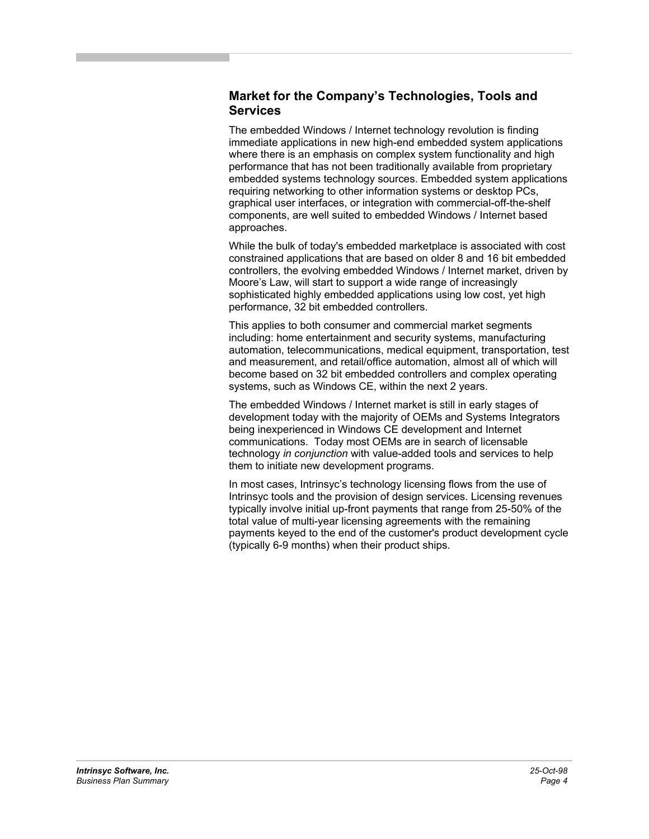#### **Market for the Company's Technologies, Tools and Services**

The embedded Windows / Internet technology revolution is finding immediate applications in new high-end embedded system applications where there is an emphasis on complex system functionality and high performance that has not been traditionally available from proprietary embedded systems technology sources. Embedded system applications requiring networking to other information systems or desktop PCs, graphical user interfaces, or integration with commercial-off-the-shelf components, are well suited to embedded Windows / Internet based approaches.

While the bulk of today's embedded marketplace is associated with cost constrained applications that are based on older 8 and 16 bit embedded controllers, the evolving embedded Windows / Internet market, driven by Moore's Law, will start to support a wide range of increasingly sophisticated highly embedded applications using low cost, yet high performance, 32 bit embedded controllers.

This applies to both consumer and commercial market segments including: home entertainment and security systems, manufacturing automation, telecommunications, medical equipment, transportation, test and measurement, and retail/office automation, almost all of which will become based on 32 bit embedded controllers and complex operating systems, such as Windows CE, within the next 2 years.

The embedded Windows / Internet market is still in early stages of development today with the majority of OEMs and Systems Integrators being inexperienced in Windows CE development and Internet communications. Today most OEMs are in search of licensable technology *in conjunction* with value-added tools and services to help them to initiate new development programs.

In most cases, Intrinsyc's technology licensing flows from the use of Intrinsyc tools and the provision of design services. Licensing revenues typically involve initial up-front payments that range from 25-50% of the total value of multi-year licensing agreements with the remaining payments keyed to the end of the customer's product development cycle (typically 6-9 months) when their product ships.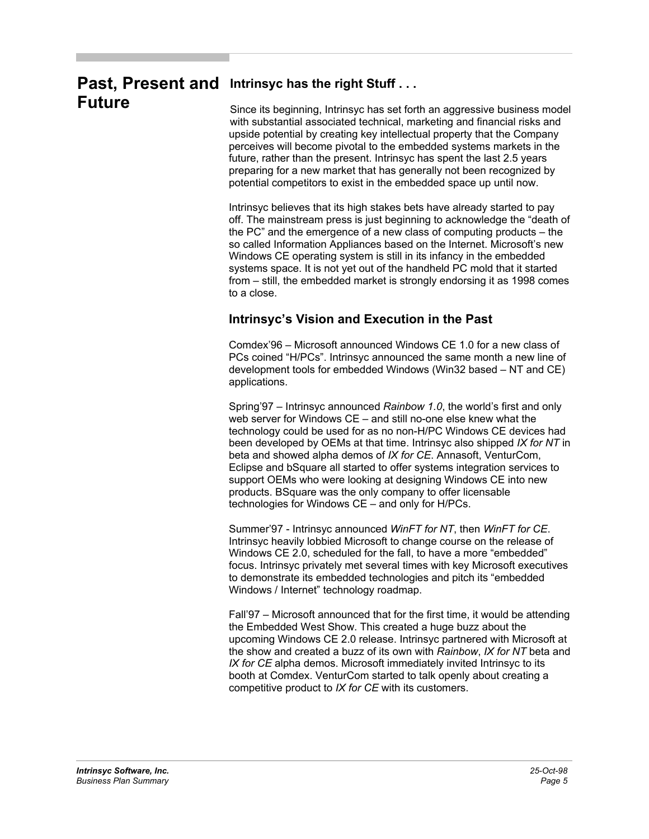## Past, Present and Intrinsyc has the right Stuff... **Future**

Since its beginning, Intrinsyc has set forth an aggressive business model with substantial associated technical, marketing and financial risks and upside potential by creating key intellectual property that the Company perceives will become pivotal to the embedded systems markets in the future, rather than the present. Intrinsyc has spent the last 2.5 years preparing for a new market that has generally not been recognized by potential competitors to exist in the embedded space up until now.

Intrinsyc believes that its high stakes bets have already started to pay off. The mainstream press is just beginning to acknowledge the "death of the PC" and the emergence of a new class of computing products – the so called Information Appliances based on the Internet. Microsoft's new Windows CE operating system is still in its infancy in the embedded systems space. It is not yet out of the handheld PC mold that it started from – still, the embedded market is strongly endorsing it as 1998 comes to a close.

## **Intrinsyc's Vision and Execution in the Past**

Comdex'96 – Microsoft announced Windows CE 1.0 for a new class of PCs coined "H/PCs". Intrinsyc announced the same month a new line of development tools for embedded Windows (Win32 based – NT and CE) applications.

Spring'97 – Intrinsyc announced *Rainbow 1.0*, the world's first and only web server for Windows CE – and still no-one else knew what the technology could be used for as no non-H/PC Windows CE devices had been developed by OEMs at that time. Intrinsyc also shipped *IX for NT* in beta and showed alpha demos of *IX for CE*. Annasoft, VenturCom, Eclipse and bSquare all started to offer systems integration services to support OEMs who were looking at designing Windows CE into new products. BSquare was the only company to offer licensable technologies for Windows CE – and only for H/PCs.

Summer'97 - Intrinsyc announced *WinFT for NT*, then *WinFT for CE*. Intrinsyc heavily lobbied Microsoft to change course on the release of Windows CE 2.0, scheduled for the fall, to have a more "embedded" focus. Intrinsyc privately met several times with key Microsoft executives to demonstrate its embedded technologies and pitch its "embedded Windows / Internet" technology roadmap.

Fall'97 – Microsoft announced that for the first time, it would be attending the Embedded West Show. This created a huge buzz about the upcoming Windows CE 2.0 release. Intrinsyc partnered with Microsoft at the show and created a buzz of its own with *Rainbow*, *IX for NT* beta and *IX for CE* alpha demos. Microsoft immediately invited Intrinsyc to its booth at Comdex. VenturCom started to talk openly about creating a competitive product to *IX for CE* with its customers.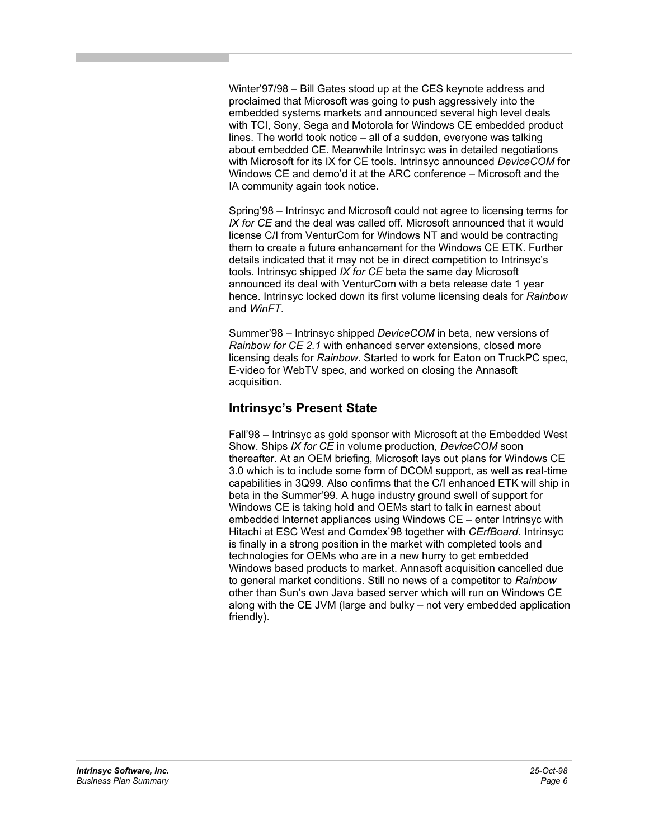Winter'97/98 – Bill Gates stood up at the CES keynote address and proclaimed that Microsoft was going to push aggressively into the embedded systems markets and announced several high level deals with TCI, Sony, Sega and Motorola for Windows CE embedded product lines. The world took notice – all of a sudden, everyone was talking about embedded CE. Meanwhile Intrinsyc was in detailed negotiations with Microsoft for its IX for CE tools. Intrinsyc announced *DeviceCOM* for Windows CE and demo'd it at the ARC conference – Microsoft and the IA community again took notice.

Spring'98 – Intrinsyc and Microsoft could not agree to licensing terms for *IX for CE* and the deal was called off. Microsoft announced that it would license C/I from VenturCom for Windows NT and would be contracting them to create a future enhancement for the Windows CE ETK. Further details indicated that it may not be in direct competition to Intrinsyc's tools. Intrinsyc shipped *IX for CE* beta the same day Microsoft announced its deal with VenturCom with a beta release date 1 year hence. Intrinsyc locked down its first volume licensing deals for *Rainbow* and *WinFT*.

Summer'98 – Intrinsyc shipped *DeviceCOM* in beta, new versions of *Rainbow for CE 2.1* with enhanced server extensions, closed more licensing deals for *Rainbow*. Started to work for Eaton on TruckPC spec, E-video for WebTV spec, and worked on closing the Annasoft acquisition.

#### **Intrinsyc's Present State**

Fall'98 – Intrinsyc as gold sponsor with Microsoft at the Embedded West Show. Ships *IX for CE* in volume production, *DeviceCOM* soon thereafter. At an OEM briefing, Microsoft lays out plans for Windows CE 3.0 which is to include some form of DCOM support, as well as real-time capabilities in 3Q99. Also confirms that the C/I enhanced ETK will ship in beta in the Summer'99. A huge industry ground swell of support for Windows CE is taking hold and OEMs start to talk in earnest about embedded Internet appliances using Windows CE – enter Intrinsyc with Hitachi at ESC West and Comdex'98 together with *CErfBoard*. Intrinsyc is finally in a strong position in the market with completed tools and technologies for OEMs who are in a new hurry to get embedded Windows based products to market. Annasoft acquisition cancelled due to general market conditions. Still no news of a competitor to *Rainbow* other than Sun's own Java based server which will run on Windows CE along with the CE JVM (large and bulky – not very embedded application friendly).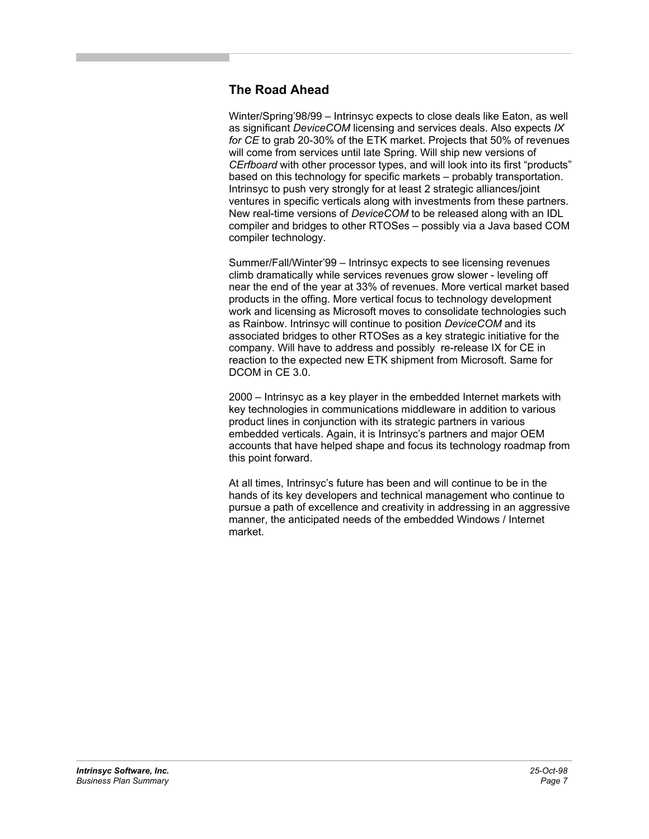## **The Road Ahead**

Winter/Spring'98/99 – Intrinsyc expects to close deals like Eaton, as well as significant *DeviceCOM* licensing and services deals. Also expects *IX for CE* to grab 20-30% of the ETK market. Projects that 50% of revenues will come from services until late Spring. Will ship new versions of *CErfboard* with other processor types, and will look into its first "products" based on this technology for specific markets – probably transportation. Intrinsyc to push very strongly for at least 2 strategic alliances/joint ventures in specific verticals along with investments from these partners. New real-time versions of *DeviceCOM* to be released along with an IDL compiler and bridges to other RTOSes – possibly via a Java based COM compiler technology.

Summer/Fall/Winter'99 – Intrinsyc expects to see licensing revenues climb dramatically while services revenues grow slower - leveling off near the end of the year at 33% of revenues. More vertical market based products in the offing. More vertical focus to technology development work and licensing as Microsoft moves to consolidate technologies such as Rainbow. Intrinsyc will continue to position *DeviceCOM* and its associated bridges to other RTOSes as a key strategic initiative for the company. Will have to address and possibly re-release IX for CE in reaction to the expected new ETK shipment from Microsoft. Same for DCOM in CE 3.0.

2000 – Intrinsyc as a key player in the embedded Internet markets with key technologies in communications middleware in addition to various product lines in conjunction with its strategic partners in various embedded verticals. Again, it is Intrinsyc's partners and major OEM accounts that have helped shape and focus its technology roadmap from this point forward.

At all times, Intrinsyc's future has been and will continue to be in the hands of its key developers and technical management who continue to pursue a path of excellence and creativity in addressing in an aggressive manner, the anticipated needs of the embedded Windows / Internet market.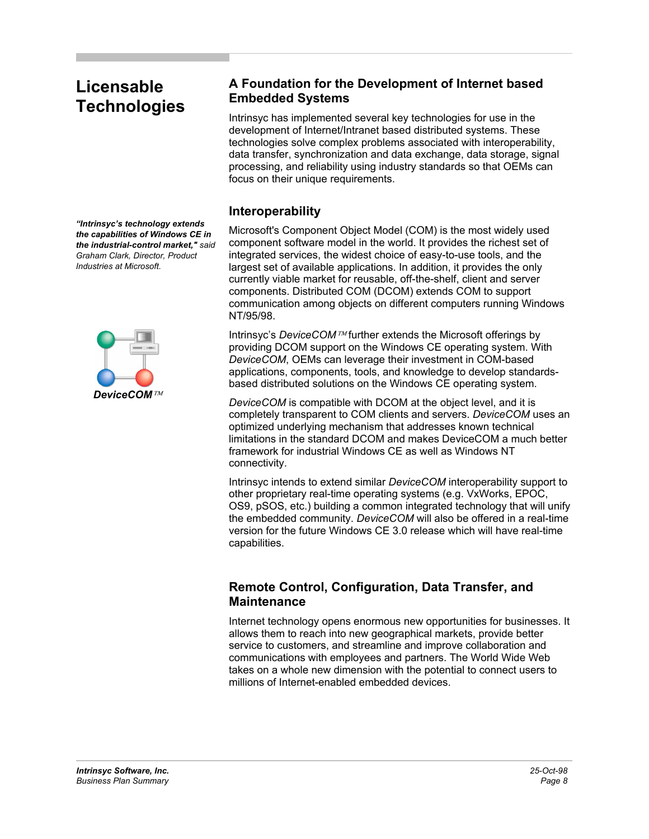## **Licensable Technologies**

*"Intrinsyc's technology extends the capabilities of Windows CE in the industrial-control market," said Graham Clark, Director, Product Industries at Microsoft.* 



#### **A Foundation for the Development of Internet based Embedded Systems**

Intrinsyc has implemented several key technologies for use in the development of Internet/Intranet based distributed systems. These technologies solve complex problems associated with interoperability, data transfer, synchronization and data exchange, data storage, signal processing, and reliability using industry standards so that OEMs can focus on their unique requirements.

#### **Interoperability**

Microsoft's Component Object Model (COM) is the most widely used component software model in the world. It provides the richest set of integrated services, the widest choice of easy-to-use tools, and the largest set of available applications. In addition, it provides the only currently viable market for reusable, off-the-shelf, client and server components. Distributed COM (DCOM) extends COM to support communication among objects on different computers running Windows NT/95/98.

Intrinsyc's *DeviceCOM* further extends the Microsoft offerings by providing DCOM support on the Windows CE operating system. With *DeviceCOM*, OEMs can leverage their investment in COM-based applications, components, tools, and knowledge to develop standardsbased distributed solutions on the Windows CE operating system.

*DeviceCOM* is compatible with DCOM at the object level, and it is completely transparent to COM clients and servers. *DeviceCOM* uses an optimized underlying mechanism that addresses known technical limitations in the standard DCOM and makes DeviceCOM a much better framework for industrial Windows CE as well as Windows NT connectivity.

Intrinsyc intends to extend similar *DeviceCOM* interoperability support to other proprietary real-time operating systems (e.g. VxWorks, EPOC, OS9, pSOS, etc.) building a common integrated technology that will unify the embedded community. *DeviceCOM* will also be offered in a real-time version for the future Windows CE 3.0 release which will have real-time capabilities.

## **Remote Control, Configuration, Data Transfer, and Maintenance**

Internet technology opens enormous new opportunities for businesses. It allows them to reach into new geographical markets, provide better service to customers, and streamline and improve collaboration and communications with employees and partners. The World Wide Web takes on a whole new dimension with the potential to connect users to millions of Internet-enabled embedded devices.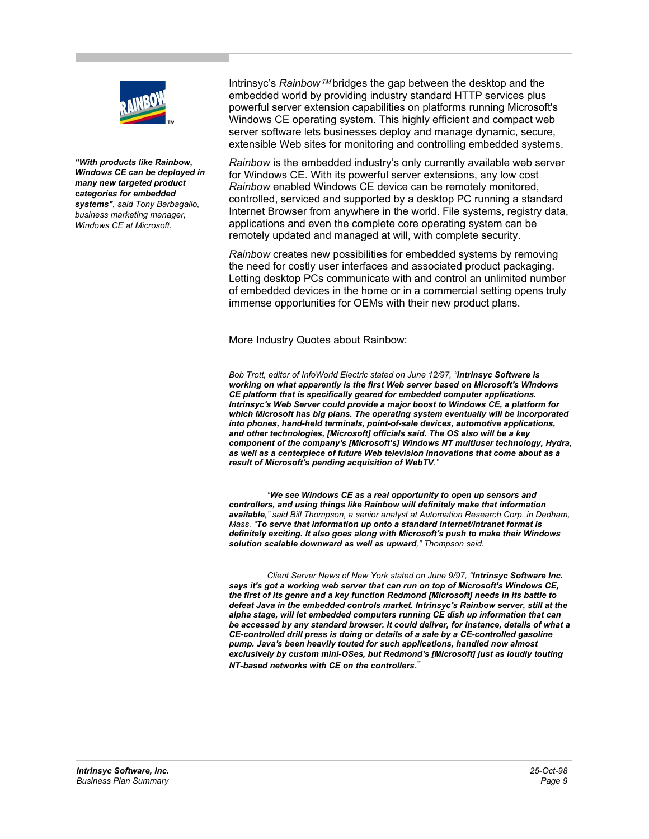

*"With products like Rainbow, Windows CE can be deployed in many new targeted product categories for embedded systems", said Tony Barbagallo, business marketing manager, Windows CE at Microsoft.* 

Intrinsyc's Rainbow<sup> TM</sup> bridges the gap between the desktop and the embedded world by providing industry standard HTTP services plus powerful server extension capabilities on platforms running Microsoft's Windows CE operating system. This highly efficient and compact web server software lets businesses deploy and manage dynamic, secure, extensible Web sites for monitoring and controlling embedded systems.

*Rainbow* is the embedded industry's only currently available web server for Windows CE. With its powerful server extensions, any low cost *Rainbow* enabled Windows CE device can be remotely monitored, controlled, serviced and supported by a desktop PC running a standard Internet Browser from anywhere in the world. File systems, registry data, applications and even the complete core operating system can be remotely updated and managed at will, with complete security.

*Rainbow* creates new possibilities for embedded systems by removing the need for costly user interfaces and associated product packaging. Letting desktop PCs communicate with and control an unlimited number of embedded devices in the home or in a commercial setting opens truly immense opportunities for OEMs with their new product plans.

More Industry Quotes about Rainbow:

*Bob Trott, editor of InfoWorld Electric stated on June 12/97, "Intrinsyc Software is working on what apparently is the first Web server based on Microsoft's Windows CE platform that is specifically geared for embedded computer applications. Intrinsyc's Web Server could provide a major boost to Windows CE, a platform for which Microsoft has big plans. The operating system eventually will be incorporated into phones, hand-held terminals, point-of-sale devices, automotive applications, and other technologies, [Microsoft] officials said. The OS also will be a key component of the company's [Microsoft's] Windows NT multiuser technology, Hydra, as well as a centerpiece of future Web television innovations that come about as a result of Microsoft's pending acquisition of WebTV."* 

 *"We see Windows CE as a real opportunity to open up sensors and controllers, and using things like Rainbow will definitely make that information available," said Bill Thompson, a senior analyst at Automation Research Corp. in Dedham, Mass. "To serve that information up onto a standard Internet/intranet format is definitely exciting. It also goes along with Microsoft's push to make their Windows solution scalable downward as well as upward," Thompson said.* 

*Client Server News of New York stated on June 9/97, "Intrinsyc Software Inc. says it's got a working web server that can run on top of Microsoft's Windows CE, the first of its genre and a key function Redmond [Microsoft] needs in its battle to defeat Java in the embedded controls market. Intrinsyc's Rainbow server, still at the alpha stage, will let embedded computers running CE dish up information that can be accessed by any standard browser. It could deliver, for instance, details of what a CE-controlled drill press is doing or details of a sale by a CE-controlled gasoline pump. Java's been heavily touted for such applications, handled now almost exclusively by custom mini-OSes, but Redmond's [Microsoft] just as loudly touting NT-based networks with CE on the controllers*."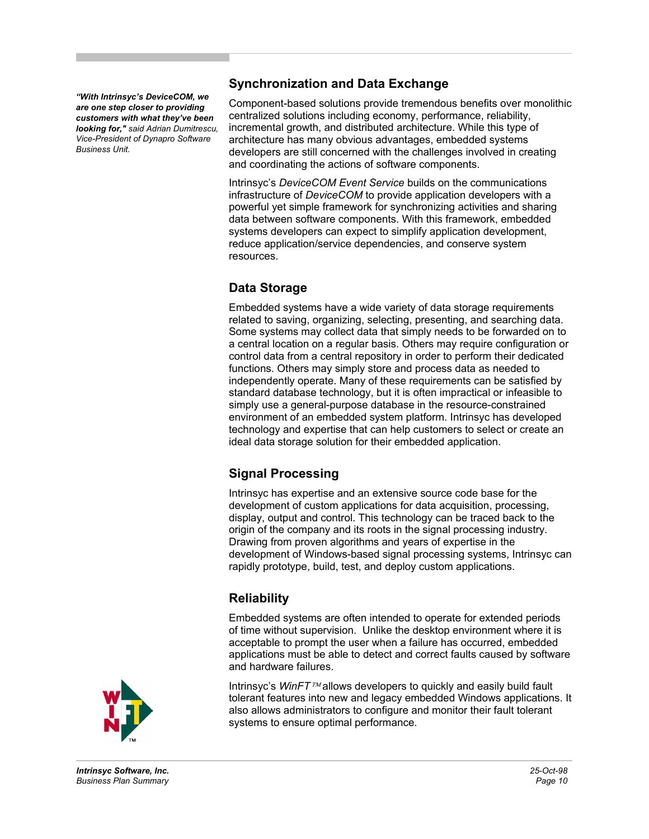*"With Intrinsyc's DeviceCOM, we are one step closer to providing customers with what they've been looking for," said Adrian Dumitrescu, Vice-President of Dynapro Software Business Unit.* 

## **Synchronization and Data Exchange**

Component-based solutions provide tremendous benefits over monolithic centralized solutions including economy, performance, reliability, incremental growth, and distributed architecture. While this type of architecture has many obvious advantages, embedded systems developers are still concerned with the challenges involved in creating and coordinating the actions of software components.

Intrinsyc's *DeviceCOM Event Service* builds on the communications infrastructure of *DeviceCOM* to provide application developers with a powerful yet simple framework for synchronizing activities and sharing data between software components. With this framework, embedded systems developers can expect to simplify application development, reduce application/service dependencies, and conserve system resources.

## **Data Storage**

Embedded systems have a wide variety of data storage requirements related to saving, organizing, selecting, presenting, and searching data. Some systems may collect data that simply needs to be forwarded on to a central location on a regular basis. Others may require configuration or control data from a central repository in order to perform their dedicated functions. Others may simply store and process data as needed to independently operate. Many of these requirements can be satisfied by standard database technology, but it is often impractical or infeasible to simply use a general-purpose database in the resource-constrained environment of an embedded system platform. Intrinsyc has developed technology and expertise that can help customers to select or create an ideal data storage solution for their embedded application.

## **Signal Processing**

Intrinsyc has expertise and an extensive source code base for the development of custom applications for data acquisition, processing, display, output and control. This technology can be traced back to the origin of the company and its roots in the signal processing industry. Drawing from proven algorithms and years of expertise in the development of Windows-based signal processing systems, Intrinsyc can rapidly prototype, build, test, and deploy custom applications.

## **Reliability**

Embedded systems are often intended to operate for extended periods of time without supervision. Unlike the desktop environment where it is acceptable to prompt the user when a failure has occurred, embedded applications must be able to detect and correct faults caused by software and hardware failures.

Intrinsyc's WinFT<sup>TM</sup> allows developers to quickly and easily build fault tolerant features into new and legacy embedded Windows applications. It also allows administrators to configure and monitor their fault tolerant systems to ensure optimal performance.

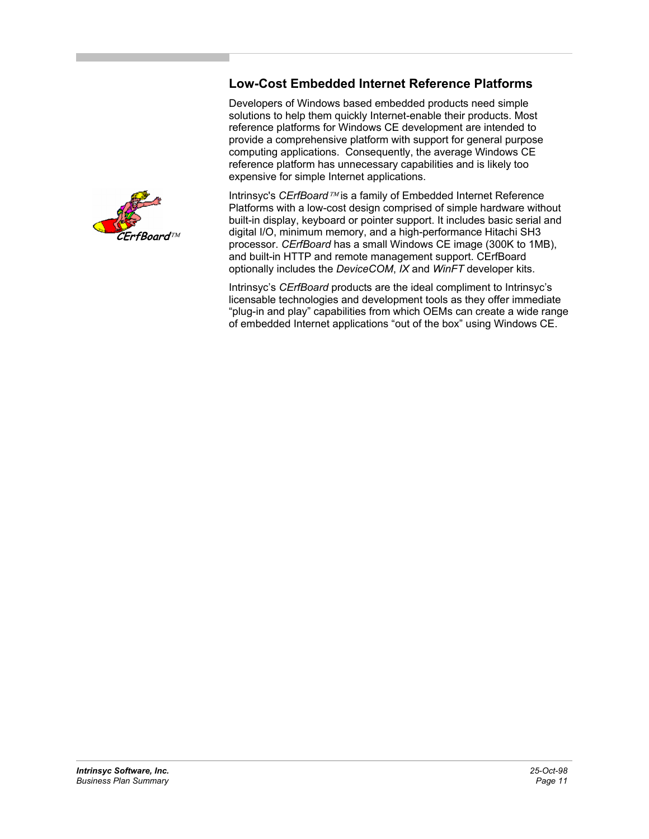#### **Low-Cost Embedded Internet Reference Platforms**

Developers of Windows based embedded products need simple solutions to help them quickly Internet-enable their products. Most reference platforms for Windows CE development are intended to provide a comprehensive platform with support for general purpose computing applications. Consequently, the average Windows CE reference platform has unnecessary capabilities and is likely too expensive for simple Internet applications.

Intrinsyc's *CErfBoard* <sup>TM</sup> is a family of Embedded Internet Reference Platforms with a low-cost design comprised of simple hardware without built-in display, keyboard or pointer support. It includes basic serial and digital I/O, minimum memory, and a high-performance Hitachi SH3 processor. *CErfBoard* has a small Windows CE image (300K to 1MB), and built-in HTTP and remote management support. CErfBoard optionally includes the *DeviceCOM*, *IX* and *WinFT* developer kits.

Intrinsyc's *CErfBoard* products are the ideal compliment to Intrinsyc's licensable technologies and development tools as they offer immediate "plug-in and play" capabilities from which OEMs can create a wide range of embedded Internet applications "out of the box" using Windows CE.

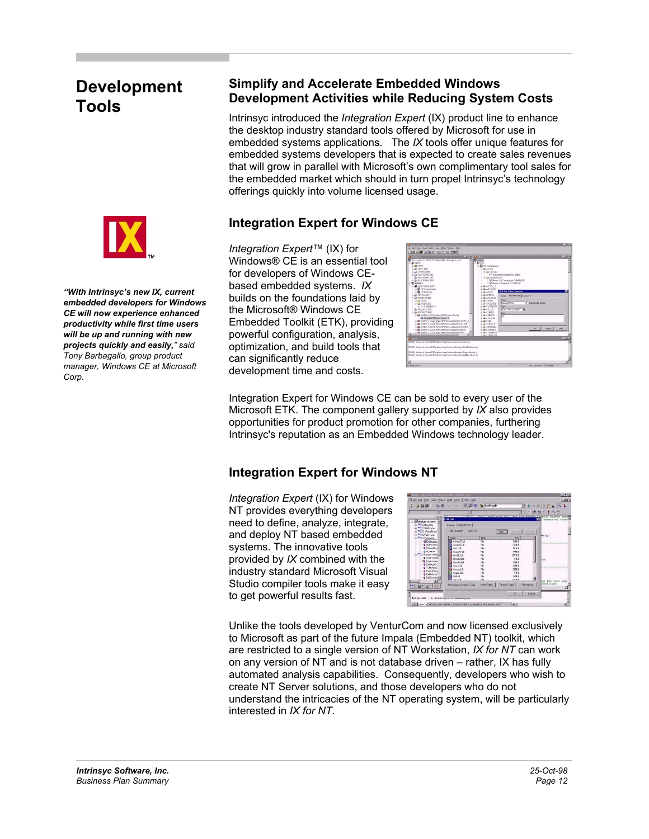## **Development Tools**



*"With Intrinsyc's new IX, current embedded developers for Windows CE will now experience enhanced productivity while first time users will be up and running with new projects quickly and easily," said Tony Barbagallo, group product manager, Windows CE at Microsoft Corp.* 

#### **Simplify and Accelerate Embedded Windows Development Activities while Reducing System Costs**

Intrinsyc introduced the *Integration Expert* (IX) product line to enhance the desktop industry standard tools offered by Microsoft for use in embedded systems applications. The *IX* tools offer unique features for embedded systems developers that is expected to create sales revenues that will grow in parallel with Microsoft's own complimentary tool sales for the embedded market which should in turn propel Intrinsyc's technology offerings quickly into volume licensed usage.

## **Integration Expert for Windows CE**

*Integration Expert™* (IX) for Windows® CE is an essential tool for developers of Windows CEbased embedded systems. *IX* builds on the foundations laid by the Microsoft® Windows CE Embedded Toolkit (ETK), providing powerful configuration, analysis, optimization, and build tools that can significantly reduce development time and costs.



Integration Expert for Windows CE can be sold to every user of the Microsoft ETK. The component gallery supported by *IX* also provides opportunities for product promotion for other companies, furthering Intrinsyc's reputation as an Embedded Windows technology leader.

## **Integration Expert for Windows NT**

*Integration Expert* (IX) for Windows NT provides everything developers need to define, analyze, integrate, and deploy NT based embedded systems. The innovative tools provided by *IX* combined with the industry standard Microsoft Visual Studio compiler tools make it easy to get powerful results fast.



Unlike the tools developed by VenturCom and now licensed exclusively to Microsoft as part of the future Impala (Embedded NT) toolkit, which are restricted to a single version of NT Workstation, *IX for NT* can work on any version of NT and is not database driven – rather, IX has fully automated analysis capabilities. Consequently, developers who wish to create NT Server solutions, and those developers who do not understand the intricacies of the NT operating system, will be particularly interested in *IX for NT*.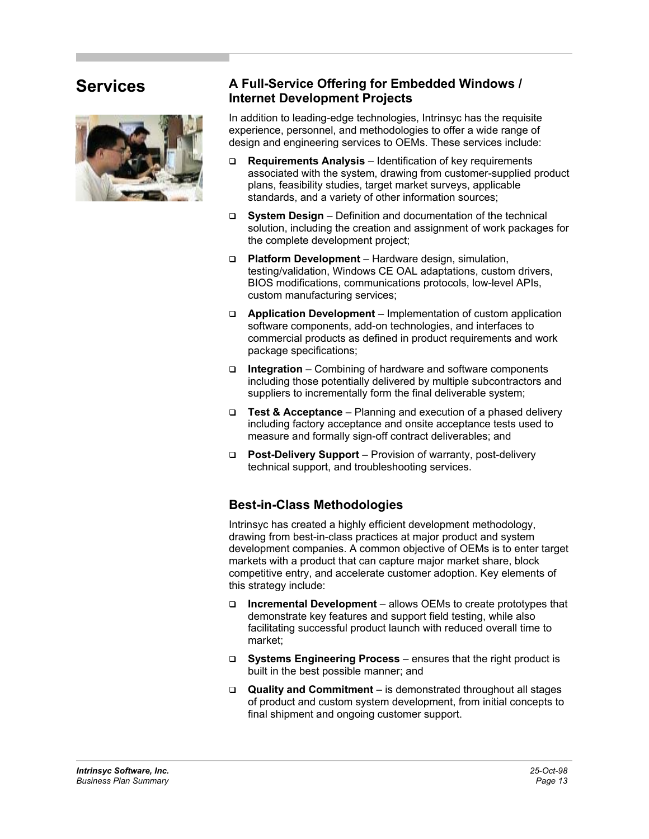## **Services**



#### **A Full-Service Offering for Embedded Windows / Internet Development Projects**

In addition to leading-edge technologies, Intrinsyc has the requisite experience, personnel, and methodologies to offer a wide range of design and engineering services to OEMs. These services include:

- **Requirements Analysis** Identification of key requirements associated with the system, drawing from customer-supplied product plans, feasibility studies, target market surveys, applicable standards, and a variety of other information sources;
- **System Design**  Definition and documentation of the technical solution, including the creation and assignment of work packages for the complete development project;
- **Platform Development** Hardware design, simulation, testing/validation, Windows CE OAL adaptations, custom drivers, BIOS modifications, communications protocols, low-level APIs, custom manufacturing services;
- **Application Development** Implementation of custom application software components, add-on technologies, and interfaces to commercial products as defined in product requirements and work package specifications;
- **Integration**  Combining of hardware and software components including those potentially delivered by multiple subcontractors and suppliers to incrementally form the final deliverable system;
- **Test & Acceptance** Planning and execution of a phased delivery including factory acceptance and onsite acceptance tests used to measure and formally sign-off contract deliverables; and
- **Post-Delivery Support** Provision of warranty, post-delivery technical support, and troubleshooting services.

## **Best-in-Class Methodologies**

Intrinsyc has created a highly efficient development methodology, drawing from best-in-class practices at major product and system development companies. A common objective of OEMs is to enter target markets with a product that can capture major market share, block competitive entry, and accelerate customer adoption. Key elements of this strategy include:

- **Incremental Development**  allows OEMs to create prototypes that demonstrate key features and support field testing, while also facilitating successful product launch with reduced overall time to market;
- **Systems Engineering Process**  ensures that the right product is built in the best possible manner; and
- **Quality and Commitment**  is demonstrated throughout all stages of product and custom system development, from initial concepts to final shipment and ongoing customer support.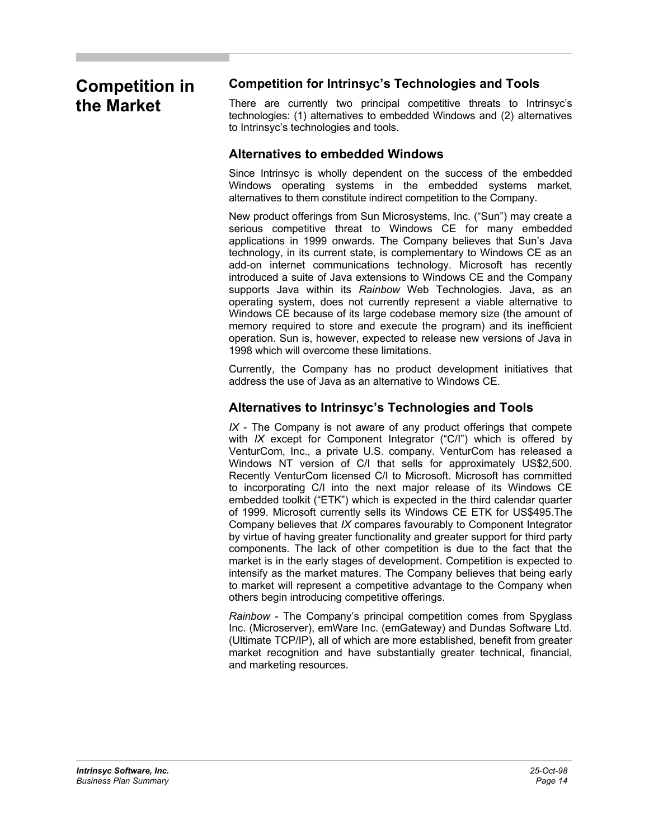## **Competition in the Market**

## **Competition for Intrinsyc's Technologies and Tools**

There are currently two principal competitive threats to Intrinsyc's technologies: (1) alternatives to embedded Windows and (2) alternatives to Intrinsyc's technologies and tools.

#### **Alternatives to embedded Windows**

Since Intrinsyc is wholly dependent on the success of the embedded Windows operating systems in the embedded systems market, alternatives to them constitute indirect competition to the Company.

New product offerings from Sun Microsystems, Inc. ("Sun") may create a serious competitive threat to Windows CE for many embedded applications in 1999 onwards. The Company believes that Sun's Java technology, in its current state, is complementary to Windows CE as an add-on internet communications technology. Microsoft has recently introduced a suite of Java extensions to Windows CE and the Company supports Java within its *Rainbow* Web Technologies. Java, as an operating system, does not currently represent a viable alternative to Windows CE because of its large codebase memory size (the amount of memory required to store and execute the program) and its inefficient operation. Sun is, however, expected to release new versions of Java in 1998 which will overcome these limitations.

Currently, the Company has no product development initiatives that address the use of Java as an alternative to Windows CE.

## **Alternatives to Intrinsyc's Technologies and Tools**

*IX* - The Company is not aware of any product offerings that compete with *IX* except for Component Integrator ("C/I") which is offered by VenturCom, Inc., a private U.S. company. VenturCom has released a Windows NT version of C/I that sells for approximately US\$2,500. Recently VenturCom licensed C/I to Microsoft. Microsoft has committed to incorporating C/I into the next major release of its Windows CE embedded toolkit ("ETK") which is expected in the third calendar quarter of 1999. Microsoft currently sells its Windows CE ETK for US\$495.The Company believes that *IX* compares favourably to Component Integrator by virtue of having greater functionality and greater support for third party components. The lack of other competition is due to the fact that the market is in the early stages of development. Competition is expected to intensify as the market matures. The Company believes that being early to market will represent a competitive advantage to the Company when others begin introducing competitive offerings.

*Rainbow* - The Company's principal competition comes from Spyglass Inc. (Microserver), emWare Inc. (emGateway) and Dundas Software Ltd. (Ultimate TCP/IP), all of which are more established, benefit from greater market recognition and have substantially greater technical, financial, and marketing resources.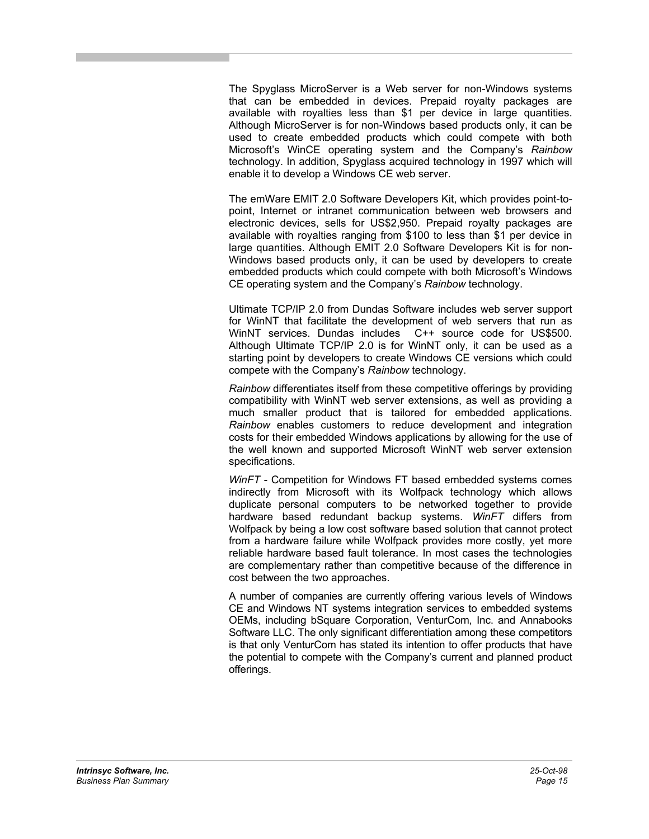The Spyglass MicroServer is a Web server for non-Windows systems that can be embedded in devices. Prepaid royalty packages are available with royalties less than \$1 per device in large quantities. Although MicroServer is for non-Windows based products only, it can be used to create embedded products which could compete with both Microsoft's WinCE operating system and the Company's *Rainbow* technology. In addition, Spyglass acquired technology in 1997 which will enable it to develop a Windows CE web server.

The emWare EMIT 2.0 Software Developers Kit, which provides point-topoint, Internet or intranet communication between web browsers and electronic devices, sells for US\$2,950. Prepaid royalty packages are available with royalties ranging from \$100 to less than \$1 per device in large quantities. Although EMIT 2.0 Software Developers Kit is for non-Windows based products only, it can be used by developers to create embedded products which could compete with both Microsoft's Windows CE operating system and the Company's *Rainbow* technology.

Ultimate TCP/IP 2.0 from Dundas Software includes web server support for WinNT that facilitate the development of web servers that run as WinNT services. Dundas includes C++ source code for US\$500. Although Ultimate TCP/IP 2.0 is for WinNT only, it can be used as a starting point by developers to create Windows CE versions which could compete with the Company's *Rainbow* technology.

*Rainbow* differentiates itself from these competitive offerings by providing compatibility with WinNT web server extensions, as well as providing a much smaller product that is tailored for embedded applications. *Rainbow* enables customers to reduce development and integration costs for their embedded Windows applications by allowing for the use of the well known and supported Microsoft WinNT web server extension specifications.

*WinFT* - Competition for Windows FT based embedded systems comes indirectly from Microsoft with its Wolfpack technology which allows duplicate personal computers to be networked together to provide hardware based redundant backup systems. *WinFT* differs from Wolfpack by being a low cost software based solution that cannot protect from a hardware failure while Wolfpack provides more costly, yet more reliable hardware based fault tolerance. In most cases the technologies are complementary rather than competitive because of the difference in cost between the two approaches.

A number of companies are currently offering various levels of Windows CE and Windows NT systems integration services to embedded systems OEMs, including bSquare Corporation, VenturCom, Inc. and Annabooks Software LLC. The only significant differentiation among these competitors is that only VenturCom has stated its intention to offer products that have the potential to compete with the Company's current and planned product offerings.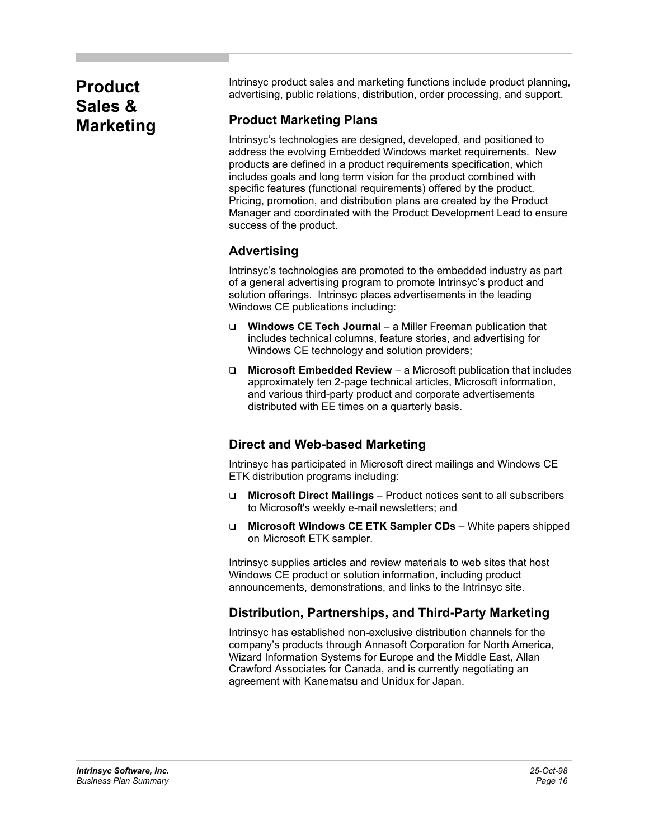## **Product Sales & Marketing**

Intrinsyc product sales and marketing functions include product planning, advertising, public relations, distribution, order processing, and support.

## **Product Marketing Plans**

Intrinsyc's technologies are designed, developed, and positioned to address the evolving Embedded Windows market requirements. New products are defined in a product requirements specification, which includes goals and long term vision for the product combined with specific features (functional requirements) offered by the product. Pricing, promotion, and distribution plans are created by the Product Manager and coordinated with the Product Development Lead to ensure success of the product.

## **Advertising**

Intrinsyc's technologies are promoted to the embedded industry as part of a general advertising program to promote Intrinsyc's product and solution offerings. Intrinsyc places advertisements in the leading Windows CE publications including:

- **Windows CE Tech Journal** − a Miller Freeman publication that includes technical columns, feature stories, and advertising for Windows CE technology and solution providers;
- **Microsoft Embedded Review** − a Microsoft publication that includes approximately ten 2-page technical articles, Microsoft information, and various third-party product and corporate advertisements distributed with EE times on a quarterly basis.

## **Direct and Web-based Marketing**

Intrinsyc has participated in Microsoft direct mailings and Windows CE ETK distribution programs including:

- **Microsoft Direct Mailings** − Product notices sent to all subscribers to Microsoft's weekly e-mail newsletters; and
- **Microsoft Windows CE ETK Sampler CDs** White papers shipped on Microsoft ETK sampler.

Intrinsyc supplies articles and review materials to web sites that host Windows CE product or solution information, including product announcements, demonstrations, and links to the Intrinsyc site.

## **Distribution, Partnerships, and Third-Party Marketing**

Intrinsyc has established non-exclusive distribution channels for the company's products through Annasoft Corporation for North America, Wizard Information Systems for Europe and the Middle East, Allan Crawford Associates for Canada, and is currently negotiating an agreement with Kanematsu and Unidux for Japan.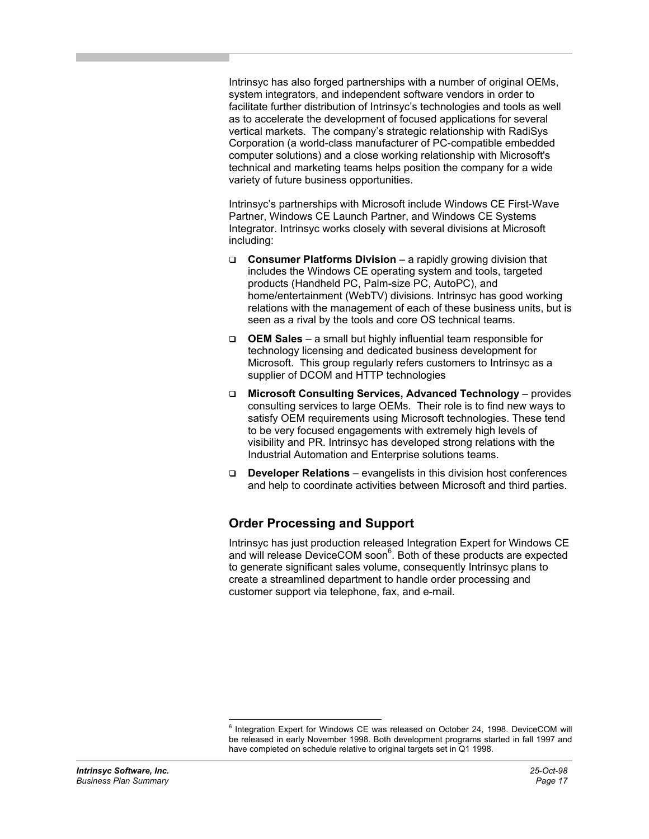Intrinsyc has also forged partnerships with a number of original OEMs, system integrators, and independent software vendors in order to facilitate further distribution of Intrinsyc's technologies and tools as well as to accelerate the development of focused applications for several vertical markets. The company's strategic relationship with RadiSys Corporation (a world-class manufacturer of PC-compatible embedded computer solutions) and a close working relationship with Microsoft's technical and marketing teams helps position the company for a wide variety of future business opportunities.

Intrinsyc's partnerships with Microsoft include Windows CE First-Wave Partner, Windows CE Launch Partner, and Windows CE Systems Integrator. Intrinsyc works closely with several divisions at Microsoft including:

- **Consumer Platforms Division**  a rapidly growing division that includes the Windows CE operating system and tools, targeted products (Handheld PC, Palm-size PC, AutoPC), and home/entertainment (WebTV) divisions. Intrinsyc has good working relations with the management of each of these business units, but is seen as a rival by the tools and core OS technical teams.
- **OEM Sales** a small but highly influential team responsible for technology licensing and dedicated business development for Microsoft. This group regularly refers customers to Intrinsyc as a supplier of DCOM and HTTP technologies
- **Microsoft Consulting Services, Advanced Technology**  provides consulting services to large OEMs. Their role is to find new ways to satisfy OEM requirements using Microsoft technologies. These tend to be very focused engagements with extremely high levels of visibility and PR. Intrinsyc has developed strong relations with the Industrial Automation and Enterprise solutions teams.
- **Developer Relations**  evangelists in this division host conferences and help to coordinate activities between Microsoft and third parties.

## **Order Processing and Support**

Intrinsyc has just production released Integration Expert for Windows CE and will release DeviceCOM soon<sup>6</sup>. Both of these products are expected to generate significant sales volume, consequently Intrinsyc plans to create a streamlined department to handle order processing and customer support via telephone, fax, and e-mail.

 6 Integration Expert for Windows CE was released on October 24, 1998. DeviceCOM will be released in early November 1998. Both development programs started in fall 1997 and have completed on schedule relative to original targets set in Q1 1998.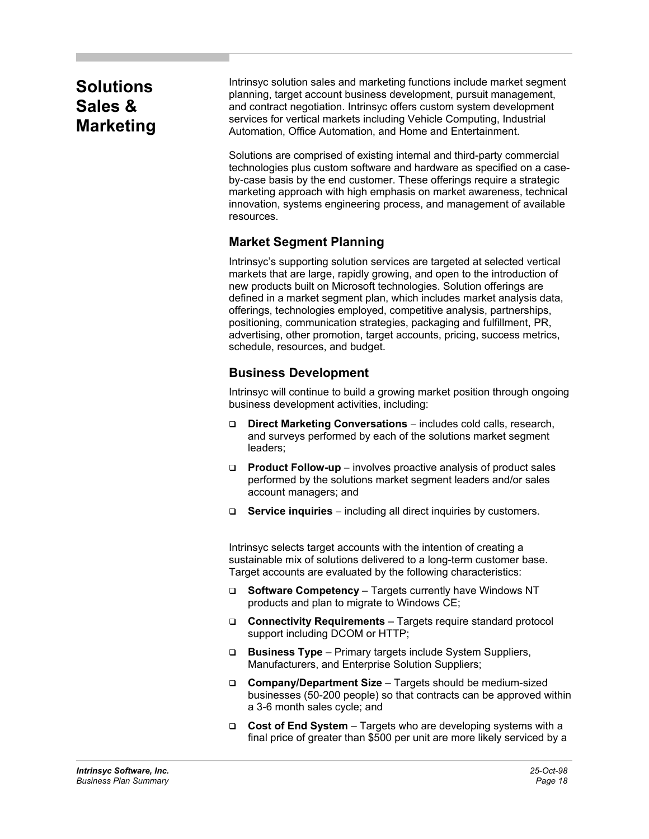## **Solutions Sales & Marketing**

Intrinsyc solution sales and marketing functions include market segment planning, target account business development, pursuit management, and contract negotiation. Intrinsyc offers custom system development services for vertical markets including Vehicle Computing, Industrial Automation, Office Automation, and Home and Entertainment.

Solutions are comprised of existing internal and third-party commercial technologies plus custom software and hardware as specified on a caseby-case basis by the end customer. These offerings require a strategic marketing approach with high emphasis on market awareness, technical innovation, systems engineering process, and management of available resources.

## **Market Segment Planning**

Intrinsyc's supporting solution services are targeted at selected vertical markets that are large, rapidly growing, and open to the introduction of new products built on Microsoft technologies. Solution offerings are defined in a market segment plan, which includes market analysis data, offerings, technologies employed, competitive analysis, partnerships, positioning, communication strategies, packaging and fulfillment, PR, advertising, other promotion, target accounts, pricing, success metrics, schedule, resources, and budget.

## **Business Development**

Intrinsyc will continue to build a growing market position through ongoing business development activities, including:

- **Direct Marketing Conversations** − includes cold calls, research, and surveys performed by each of the solutions market segment leaders;
- **Product Follow-up** − involves proactive analysis of product sales performed by the solutions market segment leaders and/or sales account managers; and
- **Service inquiries** − including all direct inquiries by customers.

Intrinsyc selects target accounts with the intention of creating a sustainable mix of solutions delivered to a long-term customer base. Target accounts are evaluated by the following characteristics:

- **Software Competency**  Targets currently have Windows NT products and plan to migrate to Windows CE;
- **Connectivity Requirements**  Targets require standard protocol support including DCOM or HTTP;
- **Business Type**  Primary targets include System Suppliers, Manufacturers, and Enterprise Solution Suppliers;
- **Company/Department Size**  Targets should be medium-sized businesses (50-200 people) so that contracts can be approved within a 3-6 month sales cycle; and
- **Cost of End System**  Targets who are developing systems with a final price of greater than \$500 per unit are more likely serviced by a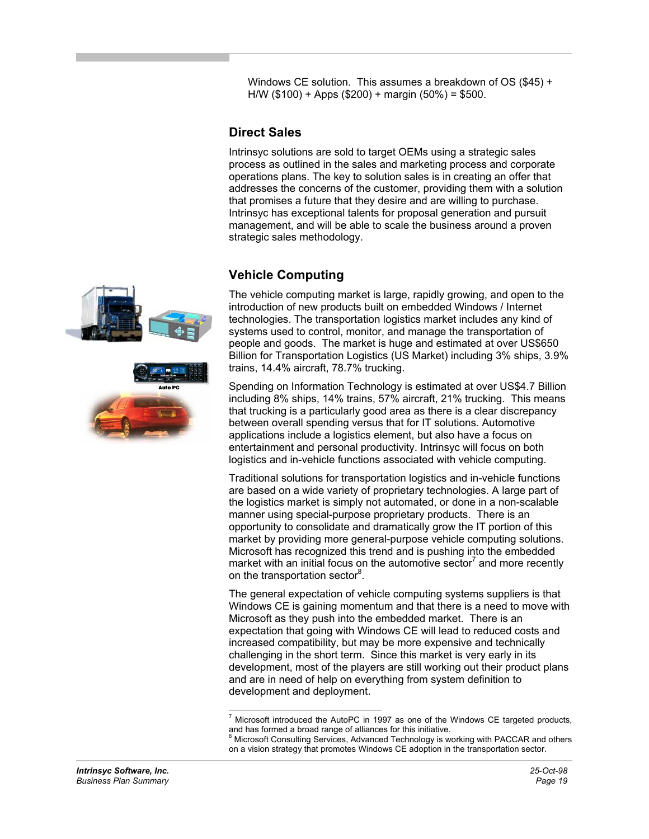Windows CE solution. This assumes a breakdown of OS (\$45) + H/W (\$100) + Apps (\$200) + margin (50%) = \$500.

### **Direct Sales**

Intrinsyc solutions are sold to target OEMs using a strategic sales process as outlined in the sales and marketing process and corporate operations plans. The key to solution sales is in creating an offer that addresses the concerns of the customer, providing them with a solution that promises a future that they desire and are willing to purchase. Intrinsyc has exceptional talents for proposal generation and pursuit management, and will be able to scale the business around a proven strategic sales methodology.

## **Vehicle Computing**

The vehicle computing market is large, rapidly growing, and open to the introduction of new products built on embedded Windows / Internet technologies. The transportation logistics market includes any kind of systems used to control, monitor, and manage the transportation of people and goods. The market is huge and estimated at over US\$650 Billion for Transportation Logistics (US Market) including 3% ships, 3.9% trains, 14.4% aircraft, 78.7% trucking.

Spending on Information Technology is estimated at over US\$4.7 Billion including 8% ships, 14% trains, 57% aircraft, 21% trucking. This means that trucking is a particularly good area as there is a clear discrepancy between overall spending versus that for IT solutions. Automotive applications include a logistics element, but also have a focus on entertainment and personal productivity. Intrinsyc will focus on both logistics and in-vehicle functions associated with vehicle computing.

Traditional solutions for transportation logistics and in-vehicle functions are based on a wide variety of proprietary technologies. A large part of the logistics market is simply not automated, or done in a non-scalable manner using special-purpose proprietary products. There is an opportunity to consolidate and dramatically grow the IT portion of this market by providing more general-purpose vehicle computing solutions. Microsoft has recognized this trend and is pushing into the embedded market with an initial focus on the automotive sector<sup>7</sup> and more recently on the transportation sector<sup>8</sup>.

The general expectation of vehicle computing systems suppliers is that Windows CE is gaining momentum and that there is a need to move with Microsoft as they push into the embedded market. There is an expectation that going with Windows CE will lead to reduced costs and increased compatibility, but may be more expensive and technically challenging in the short term. Since this market is very early in its development, most of the players are still working out their product plans and are in need of help on everything from system definition to development and deployment.



 7 Microsoft introduced the AutoPC in 1997 as one of the Windows CE targeted products, and has formed a broad range of alliances for this initiative.

<sup>&</sup>lt;sup>8</sup> Microsoft Consulting Services, Advanced Technology is working with PACCAR and others on a vision strategy that promotes Windows CE adoption in the transportation sector.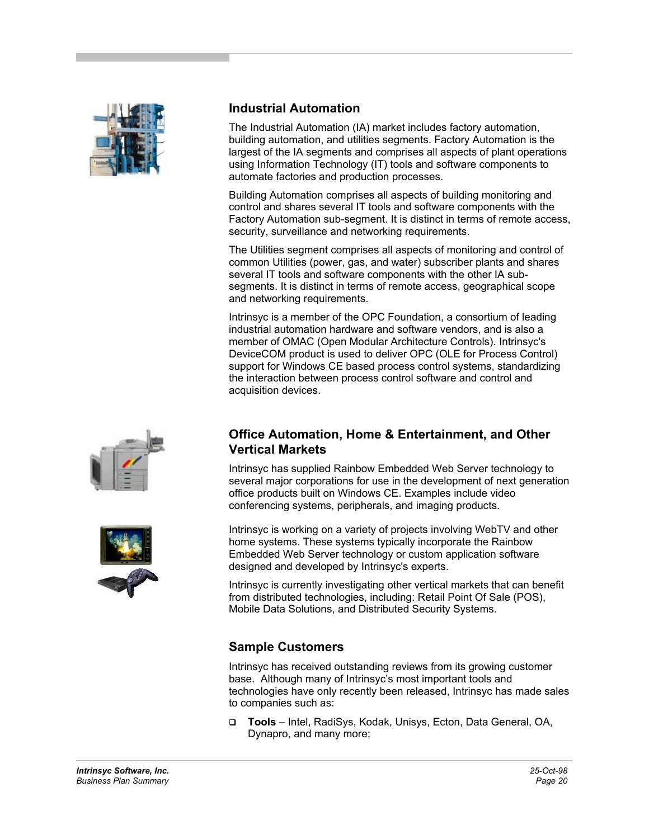![](_page_19_Picture_0.jpeg)

![](_page_19_Picture_1.jpeg)

![](_page_19_Picture_2.jpeg)

## **Industrial Automation**

The Industrial Automation (IA) market includes factory automation, building automation, and utilities segments. Factory Automation is the largest of the IA segments and comprises all aspects of plant operations using Information Technology (IT) tools and software components to automate factories and production processes.

Building Automation comprises all aspects of building monitoring and control and shares several IT tools and software components with the Factory Automation sub-segment. It is distinct in terms of remote access, security, surveillance and networking requirements.

The Utilities segment comprises all aspects of monitoring and control of common Utilities (power, gas, and water) subscriber plants and shares several IT tools and software components with the other IA subsegments. It is distinct in terms of remote access, geographical scope and networking requirements.

Intrinsyc is a member of the OPC Foundation, a consortium of leading industrial automation hardware and software vendors, and is also a member of OMAC (Open Modular Architecture Controls). Intrinsyc's DeviceCOM product is used to deliver OPC (OLE for Process Control) support for Windows CE based process control systems, standardizing the interaction between process control software and control and acquisition devices.

#### **Office Automation, Home & Entertainment, and Other Vertical Markets**

Intrinsyc has supplied Rainbow Embedded Web Server technology to several major corporations for use in the development of next generation office products built on Windows CE. Examples include video conferencing systems, peripherals, and imaging products.

Intrinsyc is working on a variety of projects involving WebTV and other home systems. These systems typically incorporate the Rainbow Embedded Web Server technology or custom application software designed and developed by Intrinsyc's experts.

Intrinsyc is currently investigating other vertical markets that can benefit from distributed technologies, including: Retail Point Of Sale (POS), Mobile Data Solutions, and Distributed Security Systems.

## **Sample Customers**

Intrinsyc has received outstanding reviews from its growing customer base. Although many of Intrinsyc's most important tools and technologies have only recently been released, Intrinsyc has made sales to companies such as:

 **Tools** – Intel, RadiSys, Kodak, Unisys, Ecton, Data General, OA, Dynapro, and many more;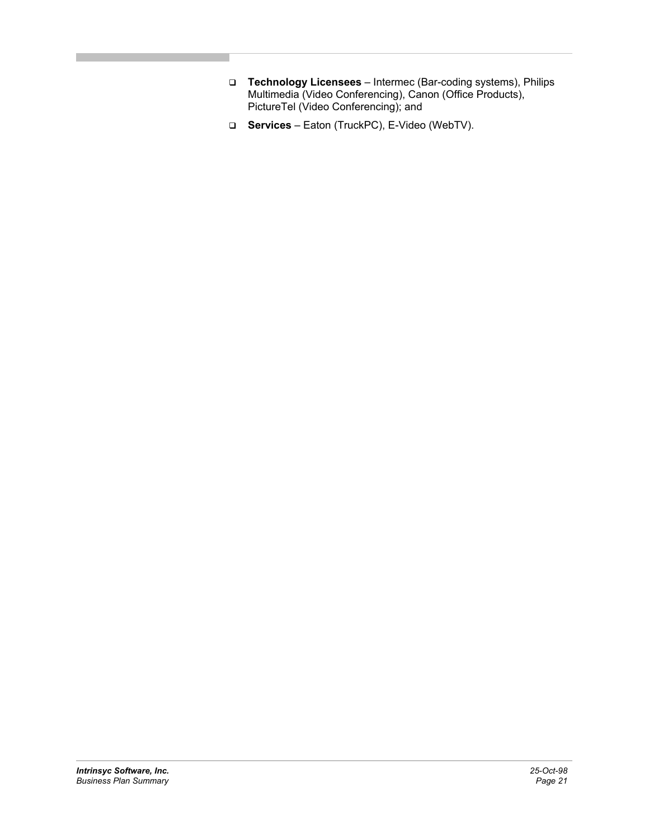- **Technology Licensees**  Intermec (Bar-coding systems), Philips Multimedia (Video Conferencing), Canon (Office Products), PictureTel (Video Conferencing); and
- **Services**  Eaton (TruckPC), E-Video (WebTV).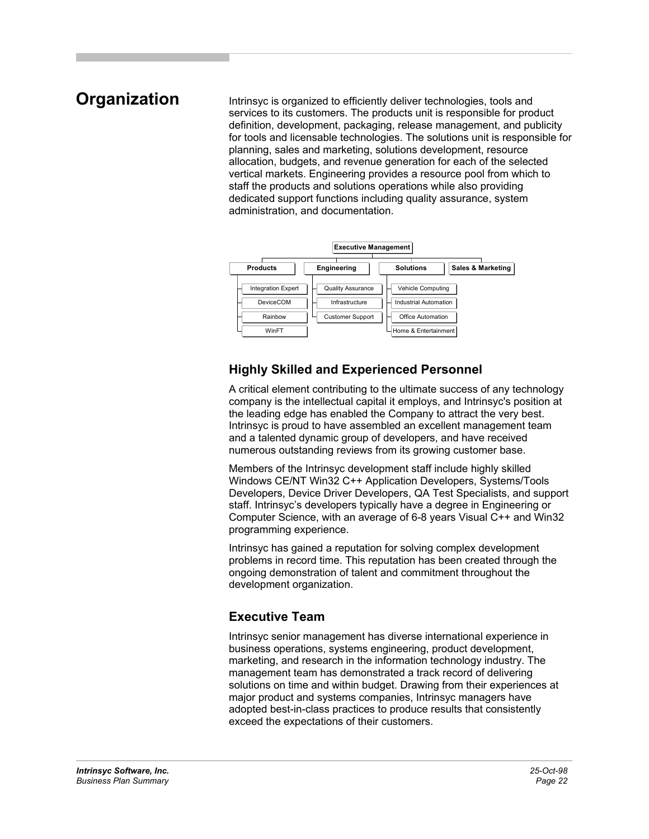## **Organization**

Intrinsyc is organized to efficiently deliver technologies, tools and services to its customers. The products unit is responsible for product definition, development, packaging, release management, and publicity for tools and licensable technologies. The solutions unit is responsible for planning, sales and marketing, solutions development, resource allocation, budgets, and revenue generation for each of the selected vertical markets. Engineering provides a resource pool from which to staff the products and solutions operations while also providing dedicated support functions including quality assurance, system administration, and documentation.

![](_page_21_Figure_2.jpeg)

## **Highly Skilled and Experienced Personnel**

A critical element contributing to the ultimate success of any technology company is the intellectual capital it employs, and Intrinsyc's position at the leading edge has enabled the Company to attract the very best. Intrinsyc is proud to have assembled an excellent management team and a talented dynamic group of developers, and have received numerous outstanding reviews from its growing customer base.

Members of the Intrinsyc development staff include highly skilled Windows CE/NT Win32 C++ Application Developers, Systems/Tools Developers, Device Driver Developers, QA Test Specialists, and support staff. Intrinsyc's developers typically have a degree in Engineering or Computer Science, with an average of 6-8 years Visual C++ and Win32 programming experience.

Intrinsyc has gained a reputation for solving complex development problems in record time. This reputation has been created through the ongoing demonstration of talent and commitment throughout the development organization.

## **Executive Team**

Intrinsyc senior management has diverse international experience in business operations, systems engineering, product development, marketing, and research in the information technology industry. The management team has demonstrated a track record of delivering solutions on time and within budget. Drawing from their experiences at major product and systems companies, Intrinsyc managers have adopted best-in-class practices to produce results that consistently exceed the expectations of their customers.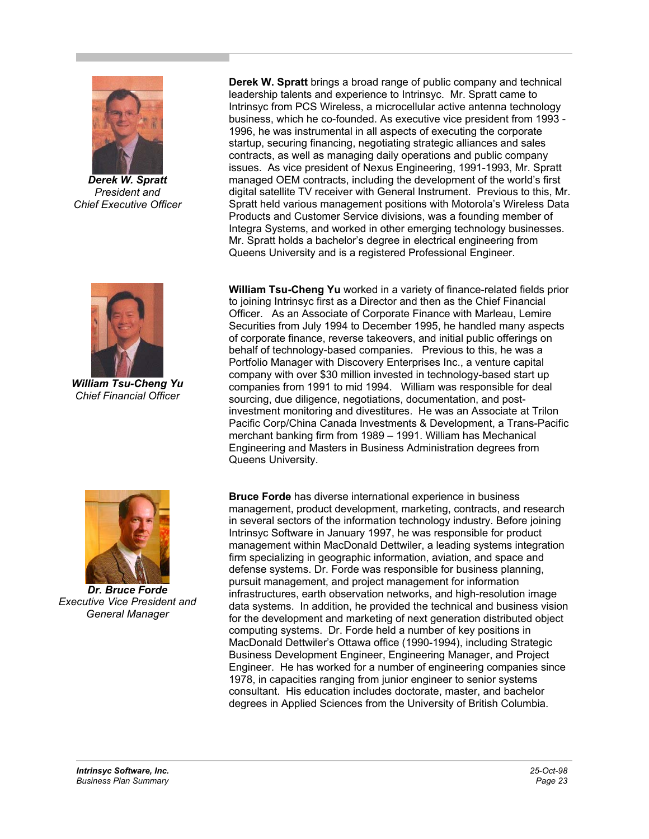![](_page_22_Picture_0.jpeg)

*Derek W. Spratt President and Chief Executive Officer*

![](_page_22_Picture_2.jpeg)

 *William Tsu-Cheng Yu Chief Financial Officer*

![](_page_22_Picture_4.jpeg)

*Dr. Bruce Forde Executive Vice President and General Manager*

**Derek W. Spratt** brings a broad range of public company and technical leadership talents and experience to Intrinsyc. Mr. Spratt came to Intrinsyc from PCS Wireless, a microcellular active antenna technology business, which he co-founded. As executive vice president from 1993 - 1996, he was instrumental in all aspects of executing the corporate startup, securing financing, negotiating strategic alliances and sales contracts, as well as managing daily operations and public company issues. As vice president of Nexus Engineering, 1991-1993, Mr. Spratt managed OEM contracts, including the development of the world's first digital satellite TV receiver with General Instrument. Previous to this, Mr. Spratt held various management positions with Motorola's Wireless Data Products and Customer Service divisions, was a founding member of Integra Systems, and worked in other emerging technology businesses. Mr. Spratt holds a bachelor's degree in electrical engineering from Queens University and is a registered Professional Engineer.

**William Tsu-Cheng Yu** worked in a variety of finance-related fields prior to joining Intrinsyc first as a Director and then as the Chief Financial Officer. As an Associate of Corporate Finance with Marleau, Lemire Securities from July 1994 to December 1995, he handled many aspects of corporate finance, reverse takeovers, and initial public offerings on behalf of technology-based companies. Previous to this, he was a Portfolio Manager with Discovery Enterprises Inc., a venture capital company with over \$30 million invested in technology-based start up companies from 1991 to mid 1994. William was responsible for deal sourcing, due diligence, negotiations, documentation, and postinvestment monitoring and divestitures. He was an Associate at Trilon Pacific Corp/China Canada Investments & Development, a Trans-Pacific merchant banking firm from 1989 – 1991. William has Mechanical Engineering and Masters in Business Administration degrees from Queens University.

**Bruce Forde** has diverse international experience in business management, product development, marketing, contracts, and research in several sectors of the information technology industry. Before joining Intrinsyc Software in January 1997, he was responsible for product management within MacDonald Dettwiler, a leading systems integration firm specializing in geographic information, aviation, and space and defense systems. Dr. Forde was responsible for business planning, pursuit management, and project management for information infrastructures, earth observation networks, and high-resolution image data systems. In addition, he provided the technical and business vision for the development and marketing of next generation distributed object computing systems. Dr. Forde held a number of key positions in MacDonald Dettwiler's Ottawa office (1990-1994), including Strategic Business Development Engineer, Engineering Manager, and Project Engineer. He has worked for a number of engineering companies since 1978, in capacities ranging from junior engineer to senior systems consultant. His education includes doctorate, master, and bachelor degrees in Applied Sciences from the University of British Columbia.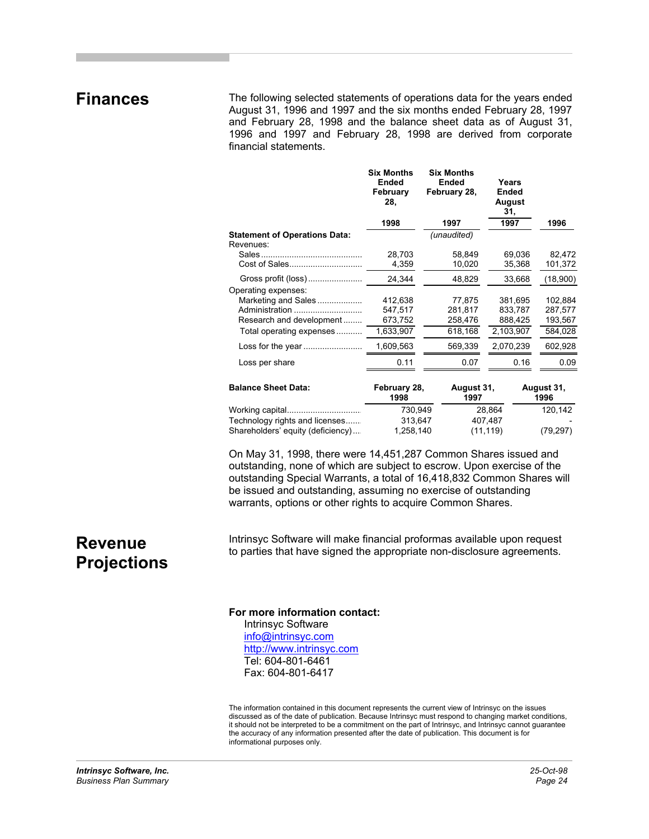## **Finances**

The following selected statements of operations data for the years ended August 31, 1996 and 1997 and the six months ended February 28, 1997 and February 28, 1998 and the balance sheet data as of August 31, 1996 and 1997 and February 28, 1998 are derived from corporate financial statements.

|                                                   | <b>Six Months</b><br>Ended<br>February<br>28. | <b>Six Months</b><br>Ended<br>February 28, | Years<br>Ended<br>August<br>31, |                    |
|---------------------------------------------------|-----------------------------------------------|--------------------------------------------|---------------------------------|--------------------|
|                                                   | 1998                                          | 1997                                       | 1997                            | 1996               |
| <b>Statement of Operations Data:</b><br>Revenues: |                                               | (unaudited)                                |                                 |                    |
|                                                   | 28,703                                        | 58,849                                     | 69,036                          | 82,472             |
|                                                   | 4,359                                         | 10,020                                     | 35,368                          | 101,372            |
|                                                   | 24.344                                        | 48,829                                     | 33.668                          | (18,900)           |
| Operating expenses:                               |                                               |                                            |                                 |                    |
| Marketing and Sales                               | 412.638                                       | 77,875                                     | 381.695                         | 102,884            |
| Administration                                    | 547,517                                       | 281,817                                    | 833,787                         | 287,577            |
| Research and development                          | 673,752                                       | 258,476                                    | 888,425                         | 193,567            |
| Total operating expenses                          | 1,633,907                                     | 618,168                                    | 2,103,907                       | 584,028            |
| Loss for the year                                 | 1,609,563                                     | 569,339                                    | 2,070,239                       | 602,928            |
| Loss per share                                    | 0.11                                          | 0.07                                       | 0.16                            | 0.09               |
| <b>Balance Sheet Data:</b>                        | February 28,<br>1998                          | August 31,<br>1997                         |                                 | August 31,<br>1996 |

|                                   | ------<br>1998 | .<br>1997 | .<br>1996 |
|-----------------------------------|----------------|-----------|-----------|
| Working capital                   | 730.949        | 28.864    | 120.142   |
| Technology rights and licenses    | 313.647        | 407.487   |           |
| Shareholders' equity (deficiency) | 1,258,140      | (11, 119) | (79, 297) |

On May 31, 1998, there were 14,451,287 Common Shares issued and outstanding, none of which are subject to escrow. Upon exercise of the outstanding Special Warrants, a total of 16,418,832 Common Shares will be issued and outstanding, assuming no exercise of outstanding warrants, options or other rights to acquire Common Shares.

## **Revenue Projections**

Intrinsyc Software will make financial proformas available upon request to parties that have signed the appropriate non-disclosure agreements.

#### **For more information contact:**

Intrinsyc Software info@intrinsyc.com http://www.intrinsyc.com Tel: 604-801-6461 Fax: 604-801-6417

The information contained in this document represents the current view of Intrinsyc on the issues discussed as of the date of publication. Because Intrinsyc must respond to changing market conditions, it should not be interpreted to be a commitment on the part of Intrinsyc, and Intrinsyc cannot guarantee the accuracy of any information presented after the date of publication. This document is for informational purposes only.